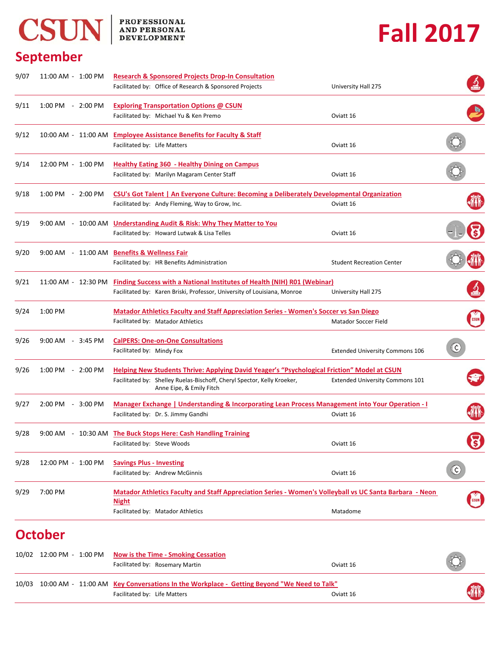## CSUN BROFESSIONAL AND PERSONAL

## **Fall 2017**

## **September**

| 11:00 AM - 1:00 PM                  | <b>Research &amp; Sponsored Projects Drop-In Consultation</b>                                       |                                                                                                                                                                                                                                                                                      |                                                                                                                                                                                                                                                                                                                                                                                                                                                                                                                             |  |
|-------------------------------------|-----------------------------------------------------------------------------------------------------|--------------------------------------------------------------------------------------------------------------------------------------------------------------------------------------------------------------------------------------------------------------------------------------|-----------------------------------------------------------------------------------------------------------------------------------------------------------------------------------------------------------------------------------------------------------------------------------------------------------------------------------------------------------------------------------------------------------------------------------------------------------------------------------------------------------------------------|--|
|                                     |                                                                                                     | University Hall 275                                                                                                                                                                                                                                                                  |                                                                                                                                                                                                                                                                                                                                                                                                                                                                                                                             |  |
| 1:00 PM - 2:00 PM                   | <b>Exploring Transportation Options @ CSUN</b>                                                      |                                                                                                                                                                                                                                                                                      |                                                                                                                                                                                                                                                                                                                                                                                                                                                                                                                             |  |
|                                     | Facilitated by: Michael Yu & Ken Premo                                                              | Oviatt 16                                                                                                                                                                                                                                                                            |                                                                                                                                                                                                                                                                                                                                                                                                                                                                                                                             |  |
|                                     | <b>Employee Assistance Benefits for Faculty &amp; Staff</b>                                         |                                                                                                                                                                                                                                                                                      |                                                                                                                                                                                                                                                                                                                                                                                                                                                                                                                             |  |
|                                     | Facilitated by: Life Matters                                                                        | Oviatt 16                                                                                                                                                                                                                                                                            |                                                                                                                                                                                                                                                                                                                                                                                                                                                                                                                             |  |
| 12:00 PM - 1:00 PM                  | <b>Healthy Eating 360 - Healthy Dining on Campus</b>                                                |                                                                                                                                                                                                                                                                                      |                                                                                                                                                                                                                                                                                                                                                                                                                                                                                                                             |  |
|                                     | Facilitated by: Marilyn Magaram Center Staff                                                        | Oviatt 16                                                                                                                                                                                                                                                                            |                                                                                                                                                                                                                                                                                                                                                                                                                                                                                                                             |  |
| 1:00 PM - 2:00 PM                   | <b>CSU's Got Talent   An Everyone Culture: Becoming a Deliberately Developmental Organization</b>   |                                                                                                                                                                                                                                                                                      |                                                                                                                                                                                                                                                                                                                                                                                                                                                                                                                             |  |
|                                     | Facilitated by: Andy Fleming, Way to Grow, Inc.                                                     | Oviatt 16                                                                                                                                                                                                                                                                            |                                                                                                                                                                                                                                                                                                                                                                                                                                                                                                                             |  |
|                                     |                                                                                                     |                                                                                                                                                                                                                                                                                      |                                                                                                                                                                                                                                                                                                                                                                                                                                                                                                                             |  |
|                                     | Facilitated by: Howard Lutwak & Lisa Telles                                                         | Oviatt 16                                                                                                                                                                                                                                                                            |                                                                                                                                                                                                                                                                                                                                                                                                                                                                                                                             |  |
|                                     | <b>Benefits &amp; Wellness Fair</b>                                                                 |                                                                                                                                                                                                                                                                                      |                                                                                                                                                                                                                                                                                                                                                                                                                                                                                                                             |  |
|                                     | Facilitated by: HR Benefits Administration                                                          | <b>Student Recreation Center</b>                                                                                                                                                                                                                                                     |                                                                                                                                                                                                                                                                                                                                                                                                                                                                                                                             |  |
| 11:00 AM - 12:30 PM                 |                                                                                                     |                                                                                                                                                                                                                                                                                      |                                                                                                                                                                                                                                                                                                                                                                                                                                                                                                                             |  |
|                                     | Facilitated by: Karen Briski, Professor, University of Louisiana, Monroe                            | University Hall 275                                                                                                                                                                                                                                                                  |                                                                                                                                                                                                                                                                                                                                                                                                                                                                                                                             |  |
| 1:00 PM                             |                                                                                                     |                                                                                                                                                                                                                                                                                      |                                                                                                                                                                                                                                                                                                                                                                                                                                                                                                                             |  |
|                                     | Facilitated by: Matador Athletics                                                                   | Matador Soccer Field                                                                                                                                                                                                                                                                 |                                                                                                                                                                                                                                                                                                                                                                                                                                                                                                                             |  |
| $9:00$ AM $-3:45$ PM                | <b>CalPERS: One-on-One Consultations</b>                                                            |                                                                                                                                                                                                                                                                                      |                                                                                                                                                                                                                                                                                                                                                                                                                                                                                                                             |  |
|                                     | Facilitated by: Mindy Fox                                                                           | <b>Extended University Commons 106</b>                                                                                                                                                                                                                                               | (¢)                                                                                                                                                                                                                                                                                                                                                                                                                                                                                                                         |  |
| $1:00 \text{ PM} - 2:00 \text{ PM}$ |                                                                                                     |                                                                                                                                                                                                                                                                                      |                                                                                                                                                                                                                                                                                                                                                                                                                                                                                                                             |  |
|                                     | Facilitated by: Shelley Ruelas-Bischoff, Cheryl Spector, Kelly Kroeker,<br>Anne Eipe, & Emily Fitch | <b>Extended University Commons 101</b>                                                                                                                                                                                                                                               |                                                                                                                                                                                                                                                                                                                                                                                                                                                                                                                             |  |
| 2:00 PM - 3:00 PM                   |                                                                                                     |                                                                                                                                                                                                                                                                                      |                                                                                                                                                                                                                                                                                                                                                                                                                                                                                                                             |  |
|                                     | Facilitated by: Dr. S. Jimmy Gandhi                                                                 | Oviatt 16                                                                                                                                                                                                                                                                            |                                                                                                                                                                                                                                                                                                                                                                                                                                                                                                                             |  |
|                                     |                                                                                                     |                                                                                                                                                                                                                                                                                      |                                                                                                                                                                                                                                                                                                                                                                                                                                                                                                                             |  |
|                                     | Facilitated by: Steve Woods                                                                         | Oviatt 16                                                                                                                                                                                                                                                                            | 3                                                                                                                                                                                                                                                                                                                                                                                                                                                                                                                           |  |
| 12:00 PM - 1:00 PM                  | <b>Savings Plus - Investing</b>                                                                     |                                                                                                                                                                                                                                                                                      |                                                                                                                                                                                                                                                                                                                                                                                                                                                                                                                             |  |
|                                     | Facilitated by: Andrew McGinnis                                                                     | Oviatt 16                                                                                                                                                                                                                                                                            | $(\mathfrak{c})$                                                                                                                                                                                                                                                                                                                                                                                                                                                                                                            |  |
| 7:00 PM                             |                                                                                                     |                                                                                                                                                                                                                                                                                      |                                                                                                                                                                                                                                                                                                                                                                                                                                                                                                                             |  |
|                                     | <b>Night</b>                                                                                        |                                                                                                                                                                                                                                                                                      |                                                                                                                                                                                                                                                                                                                                                                                                                                                                                                                             |  |
|                                     |                                                                                                     |                                                                                                                                                                                                                                                                                      |                                                                                                                                                                                                                                                                                                                                                                                                                                                                                                                             |  |
|                                     |                                                                                                     |                                                                                                                                                                                                                                                                                      |                                                                                                                                                                                                                                                                                                                                                                                                                                                                                                                             |  |
|                                     | <b>October</b>                                                                                      | Facilitated by: Office of Research & Sponsored Projects<br>10:00 AM - 11:00 AM<br>9:00 AM - 10:00 AM Understanding Audit & Risk: Why They Matter to You<br>9:00 AM - 11:00 AM<br>9:00 AM - 10:30 AM The Buck Stops Here: Cash Handling Training<br>Facilitated by: Matador Athletics | <b>Finding Success with a National Institutes of Health (NIH) R01 (Webinar)</b><br><b>Matador Athletics Faculty and Staff Appreciation Series - Women's Soccer vs San Diego</b><br><b>Helping New Students Thrive: Applying David Yeager's "Psychological Friction" Model at CSUN</b><br><u>Manager Exchange   Understanding &amp; Incorporating Lean Process Management into Your Operation - I</u><br>Matador Athletics Faculty and Staff Appreciation Series - Women's Volleyball vs UC Santa Barbara - Neon<br>Matadome |  |

|  | 10/02 12:00 PM - 1:00 PM Now is the Time - Smoking Cessation<br>Facilitated by: Rosemary Martin                                 | Oviatt 16 | $\bigotimes$ |
|--|---------------------------------------------------------------------------------------------------------------------------------|-----------|--------------|
|  | 10/03 10:00 AM - 11:00 AM Key Conversations In the Workplace - Getting Beyond "We Need to Talk"<br>Facilitated by: Life Matters | Oviatt 16 | 桃            |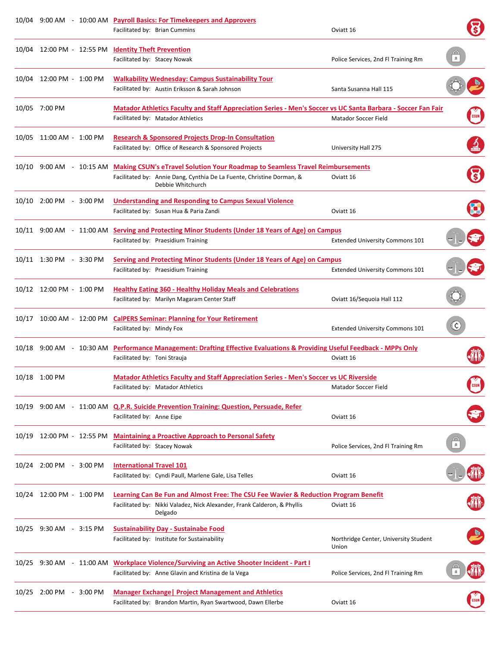|                           | 10/04 9:00 AM - 10:00 AM Payroll Basics: For Timekeepers and Approvers<br>Facilitated by: Brian Cummins                                                                                              | Oviatt 16                                      |                  |
|---------------------------|------------------------------------------------------------------------------------------------------------------------------------------------------------------------------------------------------|------------------------------------------------|------------------|
|                           | 10/04 12:00 PM - 12:55 PM Identity Theft Prevention<br>Facilitated by: Stacey Nowak                                                                                                                  | Police Services, 2nd Fl Training Rm            | $\mathbb{R}$     |
| 10/04 12:00 PM - 1:00 PM  | <b>Walkability Wednesday: Campus Sustainability Tour</b><br>Facilitated by: Austin Eriksson & Sarah Johnson                                                                                          | Santa Susanna Hall 115                         |                  |
| 10/05 7:00 PM             | Matador Athletics Faculty and Staff Appreciation Series - Men's Soccer vs UC Santa Barbara - Soccer Fan Fair<br>Facilitated by: Matador Athletics                                                    | Matador Soccer Field                           |                  |
| 10/05 11:00 AM - 1:00 PM  | <b>Research &amp; Sponsored Projects Drop-In Consultation</b><br>Facilitated by: Office of Research & Sponsored Projects                                                                             | University Hall 275                            |                  |
|                           | 10/10 9:00 AM - 10:15 AM Making CSUN's eTravel Solution Your Roadmap to Seamless Travel Reimbursements<br>Facilitated by: Annie Dang, Cynthia De La Fuente, Christine Dorman, &<br>Debbie Whitchurch | Oviatt 16                                      |                  |
| 10/10 2:00 PM - 3:00 PM   | <b>Understanding and Responding to Campus Sexual Violence</b><br>Facilitated by: Susan Hua & Paria Zandi                                                                                             | Oviatt 16                                      |                  |
|                           | 10/11 9:00 AM - 11:00 AM Serving and Protecting Minor Students (Under 18 Years of Age) on Campus<br>Facilitated by: Praesidium Training                                                              | <b>Extended University Commons 101</b>         |                  |
| 10/11 1:30 PM - 3:30 PM   | Serving and Protecting Minor Students (Under 18 Years of Age) on Campus<br>Facilitated by: Praesidium Training                                                                                       | <b>Extended University Commons 101</b>         |                  |
| 10/12 12:00 PM - 1:00 PM  | <b>Healthy Eating 360 - Healthy Holiday Meals and Celebrations</b><br>Facilitated by: Marilyn Magaram Center Staff                                                                                   | Oviatt 16/Sequoia Hall 112                     |                  |
|                           | 10/17 10:00 AM - 12:00 PM CalPERS Seminar: Planning for Your Retirement<br>Facilitated by: Mindy Fox                                                                                                 | <b>Extended University Commons 101</b>         | $(\mathfrak{c})$ |
|                           | 10/18 9:00 AM - 10:30 AM Performance Management: Drafting Effective Evaluations & Providing Useful Feedback - MPPs Only<br>Facilitated by: Toni Strauja                                              | Oviatt 16                                      |                  |
| 10/18 1:00 PM             | <b>Matador Athletics Faculty and Staff Appreciation Series - Men's Soccer vs UC Riverside</b><br>Facilitated by: Matador Athletics                                                                   | Matador Soccer Field                           | <b>GSUN</b>      |
|                           | 10/19 9:00 AM - 11:00 AM Q.P.R. Suicide Prevention Training: Question, Persuade, Refer<br>Facilitated by: Anne Eipe                                                                                  | Oviatt 16                                      |                  |
| 10/19 12:00 PM - 12:55 PM | <b>Maintaining a Proactive Approach to Personal Safety</b><br>Facilitated by: Stacey Nowak                                                                                                           | Police Services, 2nd Fl Training Rm            |                  |
| 10/24 2:00 PM - 3:00 PM   | <b>International Travel 101</b><br>Facilitated by: Cyndi Paull, Marlene Gale, Lisa Telles                                                                                                            | Oviatt 16                                      |                  |
| 10/24 12:00 PM - 1:00 PM  | <b>Learning Can Be Fun and Almost Free: The CSU Fee Wavier &amp; Reduction Program Benefit</b><br>Facilitated by: Nikki Valadez, Nick Alexander, Frank Calderon, & Phyllis<br>Delgado                | Oviatt 16                                      |                  |
| 10/25 9:30 AM - 3:15 PM   | <b>Sustainability Day - Sustainabe Food</b><br>Facilitated by: Institute for Sustainability                                                                                                          | Northridge Center, University Student<br>Union |                  |
|                           | 10/25 9:30 AM - 11:00 AM Workplace Violence/Surviving an Active Shooter Incident - Part I<br>Facilitated by: Anne Glavin and Kristina de la Vega                                                     | Police Services, 2nd Fl Training Rm            |                  |
| 10/25 2:00 PM - 3:00 PM   | <b>Manager Exchange   Project Management and Athletics</b><br>Facilitated by: Brandon Martin, Ryan Swartwood, Dawn Ellerbe                                                                           | Oviatt 16                                      |                  |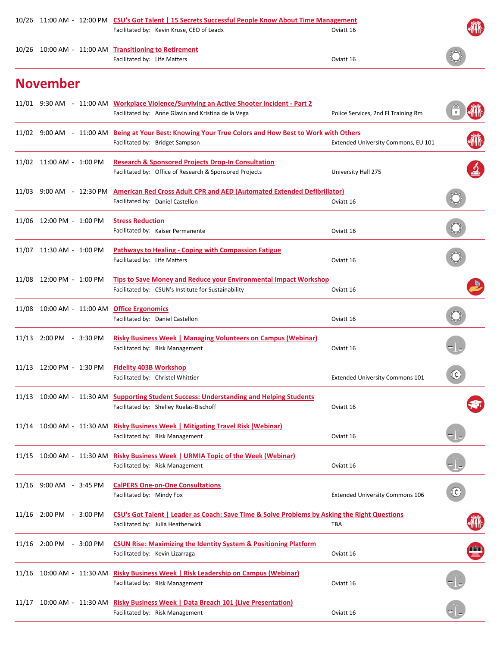| 10/26 11:00 AM - 12:00 PM CSU's Got Talent   15 Secrets Successful People Know About Time Management |  |                                                                                                                                                  |                                        |                             |
|------------------------------------------------------------------------------------------------------|--|--------------------------------------------------------------------------------------------------------------------------------------------------|----------------------------------------|-----------------------------|
|                                                                                                      |  | Facilitated by: Kevin Kruse, CEO of Leadx                                                                                                        | Oviatt 16                              |                             |
|                                                                                                      |  | 10/26 10:00 AM - 11:00 AM Transitioning to Retirement<br>Facilitated by: Life Matters                                                            | Oviatt 16                              |                             |
| <b>November</b>                                                                                      |  |                                                                                                                                                  |                                        |                             |
|                                                                                                      |  | 11/01 9:30 AM - 11:00 AM Workplace Violence/Surviving an Active Shooter Incident - Part 2<br>Facilitated by: Anne Glavin and Kristina de la Vega | Police Services, 2nd Fl Training Rm    |                             |
|                                                                                                      |  | 11/02 9:00 AM - 11:00 AM Being at Your Best: Knowing Your True Colors and How Best to Work with Others<br>Facilitated by: Bridget Sampson        | Extended University Commons, EU 101    |                             |
| 11/02 11:00 AM - 1:00 PM                                                                             |  | <b>Research &amp; Sponsored Projects Drop-In Consultation</b><br>Facilitated by: Office of Research & Sponsored Projects                         | University Hall 275                    |                             |
| 11/03 9:00 AM - 12:30 PM                                                                             |  | <b>American Red Cross Adult CPR and AED (Automated Extended Defibrillator)</b><br>Facilitated by: Daniel Castellon                               | Oviatt 16                              |                             |
| 11/06 12:00 PM - 1:00 PM                                                                             |  | <b>Stress Reduction</b><br>Facilitated by: Kaiser Permanente                                                                                     | Oviatt 16                              |                             |
| 11/07 11:30 AM - 1:00 PM                                                                             |  | <b>Pathways to Healing - Coping with Compassion Fatigue</b><br>Facilitated by: Life Matters                                                      | Oviatt 16                              |                             |
| 11/08 12:00 PM - 1:00 PM                                                                             |  | Tips to Save Money and Reduce your Environmental Impact Workshop<br>Facilitated by: CSUN's Institute for Sustainability                          | Oviatt 16                              |                             |
| 11/08  10:00 AM - 11:00 AM                                                                           |  | <b>Office Ergonomics</b><br>Facilitated by: Daniel Castellon                                                                                     | Oviatt 16                              |                             |
| 11/13 2:00 PM - 3:30 PM                                                                              |  | <b>Risky Business Week   Managing Volunteers on Campus (Webinar)</b><br>Facilitated by: Risk Management                                          | Oviatt 16                              |                             |
| 11/13 12:00 PM - 1:30 PM                                                                             |  | <b>Fidelity 403B Workshop</b><br>Facilitated by: Christel Whittier                                                                               | <b>Extended University Commons 101</b> | $\mathfrak{C}$              |
|                                                                                                      |  | 11/13 10:00 AM - 11:30 AM Supporting Student Success: Understanding and Helping Students<br>Facilitated by: Shelley Ruelas-Bischoff              | Oviatt 16                              |                             |
|                                                                                                      |  | 11/14 10:00 AM - 11:30 AM Risky Business Week   Mitigating Travel Risk (Webinar)<br>Facilitated by: Risk Management                              | Oviatt 16                              |                             |
|                                                                                                      |  | 11/15 10:00 AM - 11:30 AM Risky Business Week   URMIA Topic of the Week (Webinar)<br>Facilitated by: Risk Management                             | Oviatt 16                              |                             |
| 11/16 9:00 AM - 3:45 PM                                                                              |  | <b>CalPERS One-on-One Consultations</b><br>Facilitated by: Mindy Fox                                                                             | <b>Extended University Commons 106</b> | $(\boldsymbol{\mathsf{c}})$ |
| 11/16 2:00 PM - 3:00 PM                                                                              |  | CSU's Got Talent   Leader as Coach: Save Time & Solve Problems by Asking the Right Questions<br>Facilitated by: Julia Heatherwick                | TBA                                    |                             |
| 11/16 2:00 PM - 3:00 PM                                                                              |  | <b>CSUN Rise: Maximizing the Identity System &amp; Positioning Platform</b><br>Facilitated by: Kevin Lizarraga                                   | Oviatt 16                              |                             |
|                                                                                                      |  | 11/16 10:00 AM - 11:30 AM Risky Business Week   Risk Leadership on Campus (Webinar)<br>Facilitated by: Risk Management                           | Oviatt 16                              |                             |
|                                                                                                      |  | 11/17 10:00 AM - 11:30 AM Risky Business Week   Data Breach 101 (Live Presentation)<br>Facilitated by: Risk Management                           | Oviatt 16                              |                             |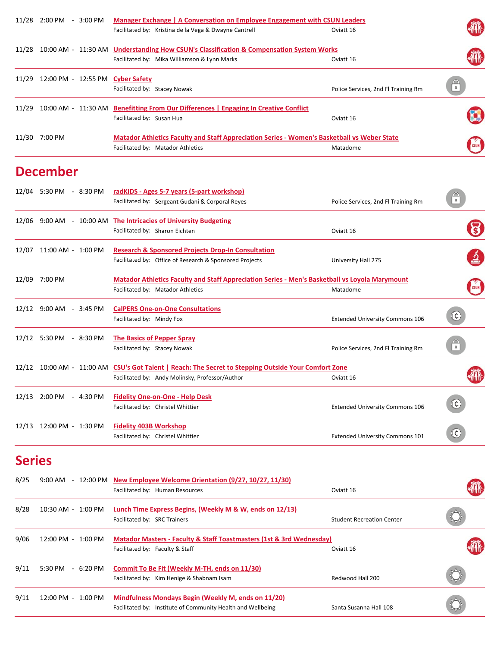|               | 11/28 2:00 PM - 3:00 PM                | Manager Exchange   A Conversation on Employee Engagement with CSUN Leaders                            |                                        |                          |
|---------------|----------------------------------------|-------------------------------------------------------------------------------------------------------|----------------------------------------|--------------------------|
|               |                                        | Facilitated by: Kristina de la Vega & Dwayne Cantrell                                                 | Oviatt 16                              |                          |
|               |                                        | 11/28 10:00 AM - 11:30 AM Understanding How CSUN's Classification & Compensation System Works         |                                        |                          |
|               |                                        | Facilitated by: Mika Williamson & Lynn Marks                                                          | Oviatt 16                              |                          |
|               | 11/29 12:00 PM - 12:55 PM Cyber Safety |                                                                                                       |                                        |                          |
|               |                                        | Facilitated by: Stacey Nowak                                                                          | Police Services, 2nd Fl Training Rm    | $\mathbb{R}$             |
|               |                                        | 11/29 10:00 AM - 11:30 AM Benefitting From Our Differences   Engaging In Creative Conflict            |                                        |                          |
|               |                                        | Facilitated by: Susan Hua                                                                             | Oviatt 16                              |                          |
|               | 11/30 7:00 PM                          | <b>Matador Athletics Faculty and Staff Appreciation Series - Women's Basketball vs Weber State</b>    |                                        |                          |
|               |                                        | Facilitated by: Matador Athletics                                                                     | Matadome                               |                          |
|               | <b>December</b>                        |                                                                                                       |                                        |                          |
|               | 12/04 5:30 PM - 8:30 PM                | radKIDS - Ages 5-7 years (5-part workshop)                                                            |                                        |                          |
|               |                                        | Facilitated by: Sergeant Gudani & Corporal Reyes                                                      | Police Services, 2nd Fl Training Rm    | $\bigcap_{n=1}^{\infty}$ |
|               |                                        | 12/06 9:00 AM - 10:00 AM The Intricacies of University Budgeting                                      |                                        |                          |
|               |                                        | Facilitated by: Sharon Eichten                                                                        | Oviatt 16                              |                          |
|               | 12/07 11:00 AM - 1:00 PM               | <b>Research &amp; Sponsored Projects Drop-In Consultation</b>                                         |                                        |                          |
|               |                                        | Facilitated by: Office of Research & Sponsored Projects                                               | University Hall 275                    |                          |
|               | 12/09 7:00 PM                          | <b>Matador Athletics Faculty and Staff Appreciation Series - Men's Basketball vs Loyola Marymount</b> |                                        |                          |
|               |                                        | Facilitated by: Matador Athletics                                                                     | Matadome                               | CSUN                     |
|               | 12/12 9:00 AM - 3:45 PM                | <b>CalPERS One-on-One Consultations</b>                                                               |                                        |                          |
|               |                                        | Facilitated by: Mindy Fox                                                                             | <b>Extended University Commons 106</b> | $\rm (c)$                |
|               | 12/12 5:30 PM - 8:30 PM                | <b>The Basics of Pepper Spray</b>                                                                     |                                        |                          |
|               |                                        | Facilitated by: Stacey Nowak                                                                          | Police Services, 2nd Fl Training Rm    | $\bigcap_{\mathbf{a}}$   |
|               |                                        | 12/12 10:00 AM - 11:00 AM CSU's Got Talent   Reach: The Secret to Stepping Outside Your Comfort Zone  |                                        |                          |
|               |                                        | Facilitated by: Andy Molinsky, Professor/Author                                                       | Oviatt 16                              |                          |
|               | 12/13 2:00 PM - 4:30 PM                | <b>Fidelity One-on-One - Help Desk</b>                                                                |                                        |                          |
|               |                                        | Facilitated by: Christel Whittier                                                                     | <b>Extended University Commons 106</b> | $^\copyright$            |
|               | 12/13 12:00 PM - 1:30 PM               | <b>Fidelity 403B Workshop</b>                                                                         |                                        |                          |
|               |                                        | Facilitated by: Christel Whittier                                                                     | <b>Extended University Commons 101</b> | $\odot$                  |
| <b>Series</b> |                                        |                                                                                                       |                                        |                          |

| 8/25 | 9:00 AM                       | - $12:00 \text{ PM}$ New Employee Welcome Orientation (9/27, 10/27, 11/30)<br>Facilitated by: Human Resources          | Oviatt 16                        |  |
|------|-------------------------------|------------------------------------------------------------------------------------------------------------------------|----------------------------------|--|
| 8/28 | 10:30 AM - 1:00 PM            | Lunch Time Express Begins, (Weekly M & W, ends on 12/13)<br>Facilitated by: SRC Trainers                               | <b>Student Recreation Center</b> |  |
| 9/06 | 12:00 PM - 1:00 PM            | <b>Matador Masters - Faculty &amp; Staff Toastmasters (1st &amp; 3rd Wednesday)</b><br>Facilitated by: Faculty & Staff | Oviatt 16                        |  |
| 9/11 | 5:30 PM<br>$-6:20 \text{ PM}$ | Commit To Be Fit (Weekly M-TH, ends on 11/30)<br>Facilitated by: Kim Henige & Shabnam Isam                             | Redwood Hall 200                 |  |
| 9/11 | 12:00 PM - 1:00 PM            | Mindfulness Mondays Begin (Weekly M, ends on 11/20)<br>Facilitated by: Institute of Community Health and Wellbeing     | Santa Susanna Hall 108           |  |